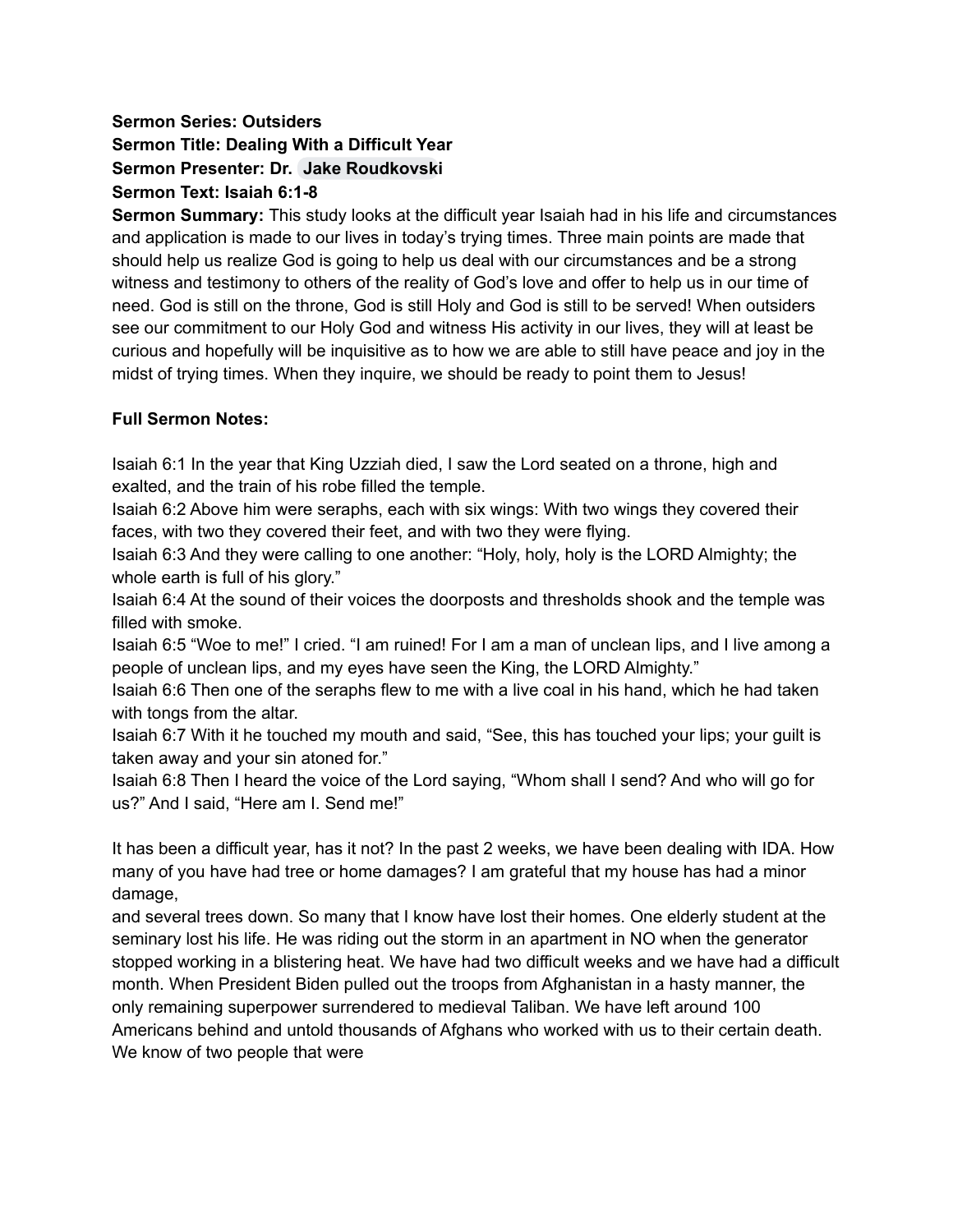# **Sermon Series: Outsiders Sermon Title: Dealing With a Difficult Year Sermon Presenter: Dr. Jake [Roudkovski](mailto:jaker@nobts.edu) Sermon Text: Isaiah 6:1-8**

**Sermon Summary:** This study looks at the difficult year Isaiah had in his life and circumstances and application is made to our lives in today's trying times. Three main points are made that should help us realize God is going to help us deal with our circumstances and be a strong witness and testimony to others of the reality of God's love and offer to help us in our time of need. God is still on the throne, God is still Holy and God is still to be served! When outsiders see our commitment to our Holy God and witness His activity in our lives, they will at least be curious and hopefully will be inquisitive as to how we are able to still have peace and joy in the midst of trying times. When they inquire, we should be ready to point them to Jesus!

## **Full Sermon Notes:**

Isaiah 6:1 In the year that King Uzziah died, I saw the Lord seated on a throne, high and exalted, and the train of his robe filled the temple.

Isaiah 6:2 Above him were seraphs, each with six wings: With two wings they covered their faces, with two they covered their feet, and with two they were flying.

Isaiah 6:3 And they were calling to one another: "Holy, holy, holy is the LORD Almighty; the whole earth is full of his glory."

Isaiah 6:4 At the sound of their voices the doorposts and thresholds shook and the temple was filled with smoke.

Isaiah 6:5 "Woe to me!" I cried. "I am ruined! For I am a man of unclean lips, and I live among a people of unclean lips, and my eyes have seen the King, the LORD Almighty."

Isaiah 6:6 Then one of the seraphs flew to me with a live coal in his hand, which he had taken with tongs from the altar.

Isaiah 6:7 With it he touched my mouth and said, "See, this has touched your lips; your guilt is taken away and your sin atoned for."

Isaiah 6:8 Then I heard the voice of the Lord saying, "Whom shall I send? And who will go for us?" And I said, "Here am I. Send me!"

It has been a difficult year, has it not? In the past 2 weeks, we have been dealing with IDA. How many of you have had tree or home damages? I am grateful that my house has had a minor damage,

and several trees down. So many that I know have lost their homes. One elderly student at the seminary lost his life. He was riding out the storm in an apartment in NO when the generator stopped working in a blistering heat. We have had two difficult weeks and we have had a difficult month. When President Biden pulled out the troops from Afghanistan in a hasty manner, the only remaining superpower surrendered to medieval Taliban. We have left around 100 Americans behind and untold thousands of Afghans who worked with us to their certain death. We know of two people that were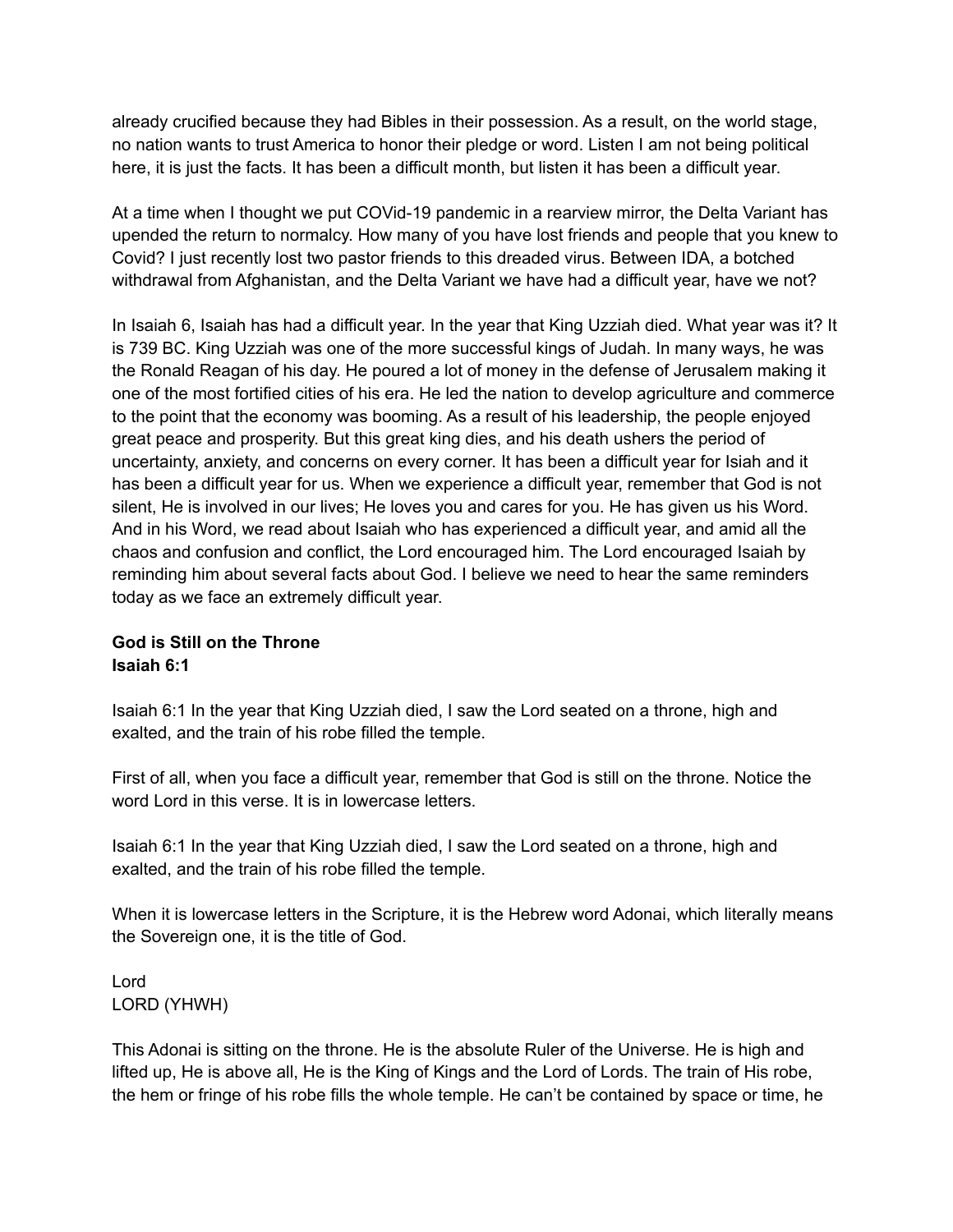already crucified because they had Bibles in their possession. As a result, on the world stage, no nation wants to trust America to honor their pledge or word. Listen I am not being political here, it is just the facts. It has been a difficult month, but listen it has been a difficult year.

At a time when I thought we put COVid-19 pandemic in a rearview mirror, the Delta Variant has upended the return to normalcy. How many of you have lost friends and people that you knew to Covid? I just recently lost two pastor friends to this dreaded virus. Between IDA, a botched withdrawal from Afghanistan, and the Delta Variant we have had a difficult year, have we not?

In Isaiah 6, Isaiah has had a difficult year. In the year that King Uzziah died. What year was it? It is 739 BC. King Uzziah was one of the more successful kings of Judah. In many ways, he was the Ronald Reagan of his day. He poured a lot of money in the defense of Jerusalem making it one of the most fortified cities of his era. He led the nation to develop agriculture and commerce to the point that the economy was booming. As a result of his leadership, the people enjoyed great peace and prosperity. But this great king dies, and his death ushers the period of uncertainty, anxiety, and concerns on every corner. It has been a difficult year for Isiah and it has been a difficult year for us. When we experience a difficult year, remember that God is not silent, He is involved in our lives; He loves you and cares for you. He has given us his Word. And in his Word, we read about Isaiah who has experienced a difficult year, and amid all the chaos and confusion and conflict, the Lord encouraged him. The Lord encouraged Isaiah by reminding him about several facts about God. I believe we need to hear the same reminders today as we face an extremely difficult year.

## **God is Still on the Throne Isaiah 6:1**

Isaiah 6:1 In the year that King Uzziah died, I saw the Lord seated on a throne, high and exalted, and the train of his robe filled the temple.

First of all, when you face a difficult year, remember that God is still on the throne. Notice the word Lord in this verse. It is in lowercase letters.

Isaiah 6:1 In the year that King Uzziah died, I saw the Lord seated on a throne, high and exalted, and the train of his robe filled the temple.

When it is lowercase letters in the Scripture, it is the Hebrew word Adonai, which literally means the Sovereign one, it is the title of God.

Lord LORD (YHWH)

This Adonai is sitting on the throne. He is the absolute Ruler of the Universe. He is high and lifted up, He is above all, He is the King of Kings and the Lord of Lords. The train of His robe, the hem or fringe of his robe fills the whole temple. He can't be contained by space or time, he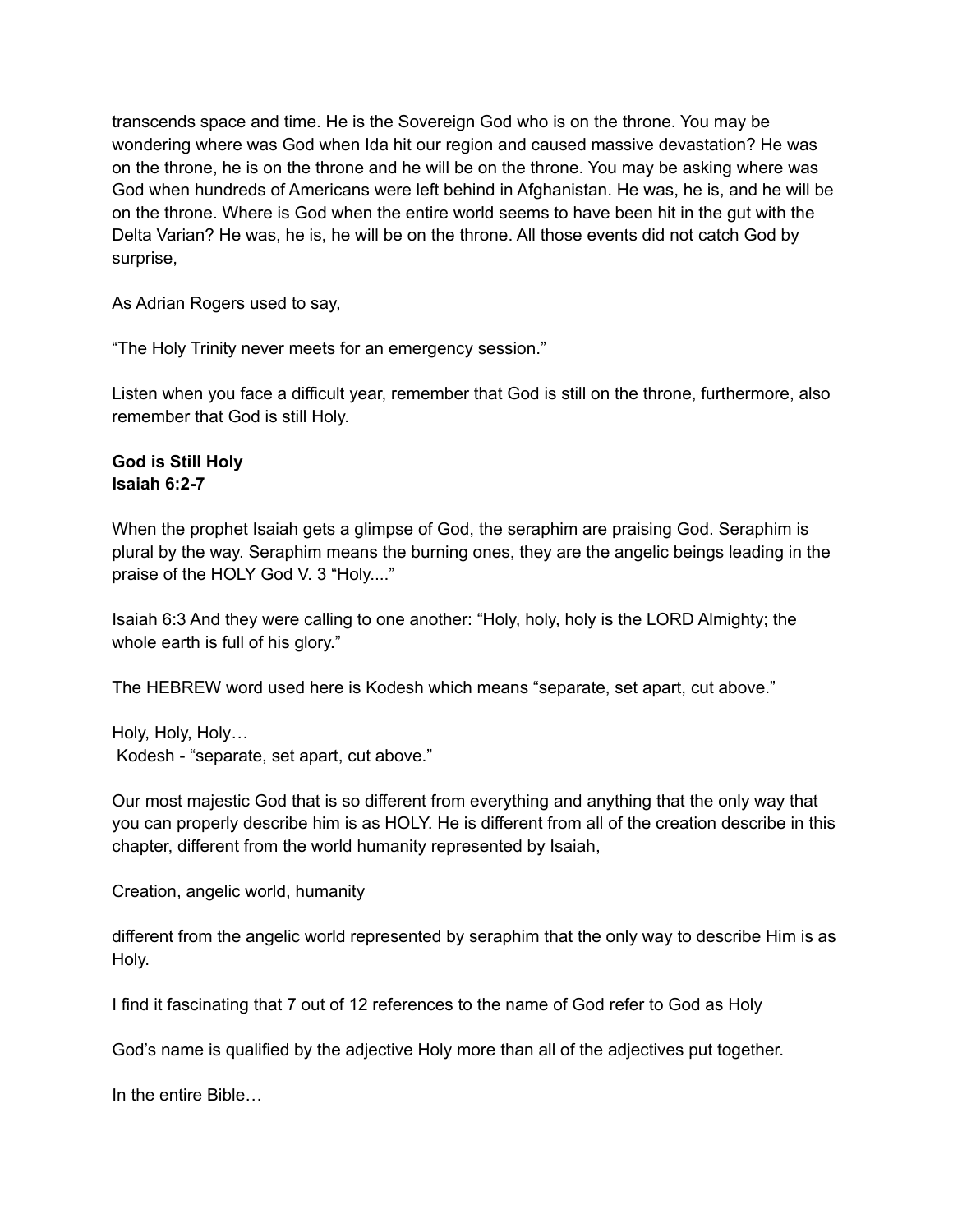transcends space and time. He is the Sovereign God who is on the throne. You may be wondering where was God when Ida hit our region and caused massive devastation? He was on the throne, he is on the throne and he will be on the throne. You may be asking where was God when hundreds of Americans were left behind in Afghanistan. He was, he is, and he will be on the throne. Where is God when the entire world seems to have been hit in the gut with the Delta Varian? He was, he is, he will be on the throne. All those events did not catch God by surprise,

As Adrian Rogers used to say,

"The Holy Trinity never meets for an emergency session."

Listen when you face a difficult year, remember that God is still on the throne, furthermore, also remember that God is still Holy.

#### **God is Still Holy Isaiah 6:2-7**

When the prophet Isaiah gets a glimpse of God, the seraphim are praising God. Seraphim is plural by the way. Seraphim means the burning ones, they are the angelic beings leading in the praise of the HOLY God V. 3 "Holy...."

Isaiah 6:3 And they were calling to one another: "Holy, holy, holy is the LORD Almighty; the whole earth is full of his glory."

The HEBREW word used here is Kodesh which means "separate, set apart, cut above."

Holy, Holy, Holy… Kodesh - "separate, set apart, cut above."

Our most majestic God that is so different from everything and anything that the only way that you can properly describe him is as HOLY. He is different from all of the creation describe in this chapter, different from the world humanity represented by Isaiah,

Creation, angelic world, humanity

different from the angelic world represented by seraphim that the only way to describe Him is as Holy.

I find it fascinating that 7 out of 12 references to the name of God refer to God as Holy

God's name is qualified by the adjective Holy more than all of the adjectives put together.

In the entire Bible…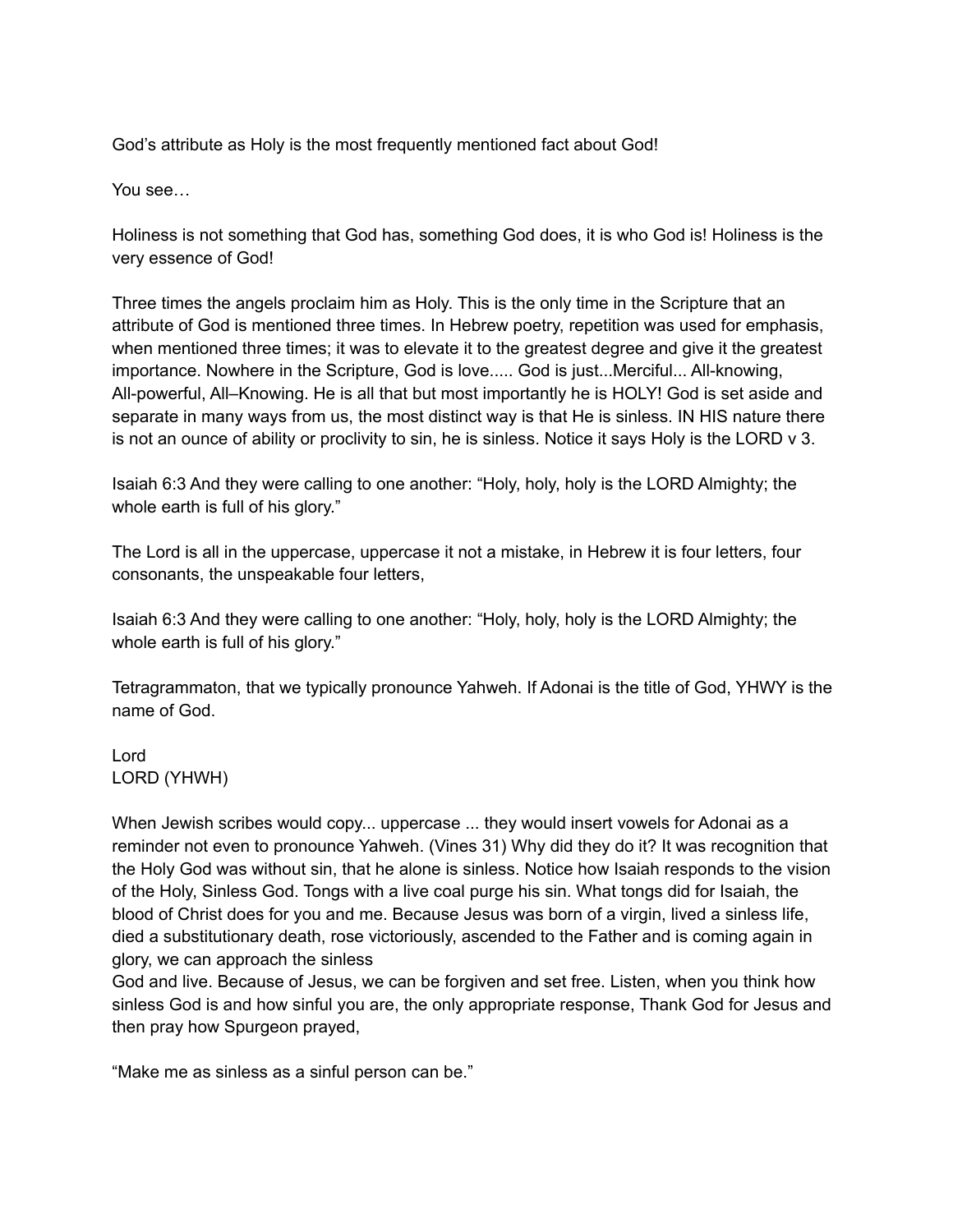God's attribute as Holy is the most frequently mentioned fact about God!

You see…

Holiness is not something that God has, something God does, it is who God is! Holiness is the very essence of God!

Three times the angels proclaim him as Holy. This is the only time in the Scripture that an attribute of God is mentioned three times. In Hebrew poetry, repetition was used for emphasis, when mentioned three times; it was to elevate it to the greatest degree and give it the greatest importance. Nowhere in the Scripture, God is love..... God is just...Merciful... All-knowing, All-powerful, All–Knowing. He is all that but most importantly he is HOLY! God is set aside and separate in many ways from us, the most distinct way is that He is sinless. IN HIS nature there is not an ounce of ability or proclivity to sin, he is sinless. Notice it says Holy is the LORD v 3.

Isaiah 6:3 And they were calling to one another: "Holy, holy, holy is the LORD Almighty; the whole earth is full of his glory."

The Lord is all in the uppercase, uppercase it not a mistake, in Hebrew it is four letters, four consonants, the unspeakable four letters,

Isaiah 6:3 And they were calling to one another: "Holy, holy, holy is the LORD Almighty; the whole earth is full of his glory."

Tetragrammaton, that we typically pronounce Yahweh. If Adonai is the title of God, YHWY is the name of God.

Lord LORD (YHWH)

When Jewish scribes would copy... uppercase ... they would insert vowels for Adonai as a reminder not even to pronounce Yahweh. (Vines 31) Why did they do it? It was recognition that the Holy God was without sin, that he alone is sinless. Notice how Isaiah responds to the vision of the Holy, Sinless God. Tongs with a live coal purge his sin. What tongs did for Isaiah, the blood of Christ does for you and me. Because Jesus was born of a virgin, lived a sinless life, died a substitutionary death, rose victoriously, ascended to the Father and is coming again in glory, we can approach the sinless

God and live. Because of Jesus, we can be forgiven and set free. Listen, when you think how sinless God is and how sinful you are, the only appropriate response, Thank God for Jesus and then pray how Spurgeon prayed,

"Make me as sinless as a sinful person can be."